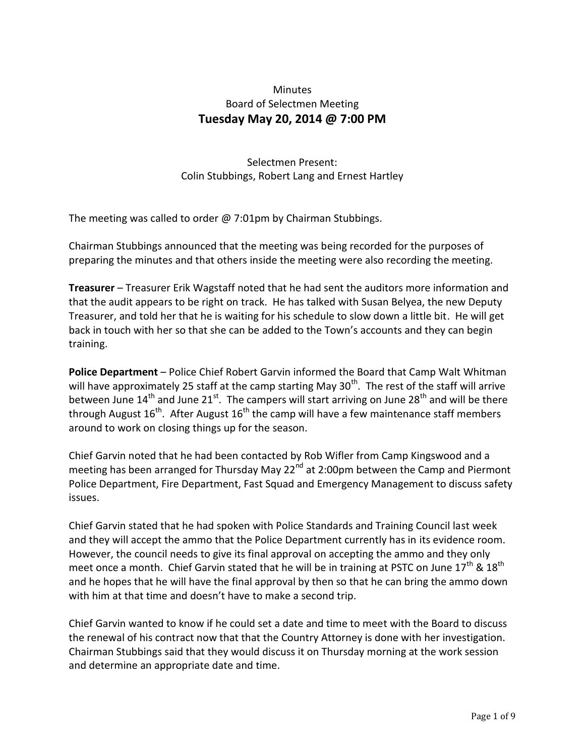## Minutes Board of Selectmen Meeting **Tuesday May 20, 2014 @ 7:00 PM**

Selectmen Present: Colin Stubbings, Robert Lang and Ernest Hartley

The meeting was called to order  $\omega$  7:01pm by Chairman Stubbings.

Chairman Stubbings announced that the meeting was being recorded for the purposes of preparing the minutes and that others inside the meeting were also recording the meeting.

**Treasurer** – Treasurer Erik Wagstaff noted that he had sent the auditors more information and that the audit appears to be right on track. He has talked with Susan Belyea, the new Deputy Treasurer, and told her that he is waiting for his schedule to slow down a little bit. He will get back in touch with her so that she can be added to the Town's accounts and they can begin training.

**Police Department** – Police Chief Robert Garvin informed the Board that Camp Walt Whitman will have approximately 25 staff at the camp starting May 30<sup>th</sup>. The rest of the staff will arrive between June  $14<sup>th</sup>$  and June  $21<sup>st</sup>$ . The campers will start arriving on June  $28<sup>th</sup>$  and will be there through August  $16^{th}$ . After August  $16^{th}$  the camp will have a few maintenance staff members around to work on closing things up for the season.

Chief Garvin noted that he had been contacted by Rob Wifler from Camp Kingswood and a meeting has been arranged for Thursday May 22<sup>nd</sup> at 2:00pm between the Camp and Piermont Police Department, Fire Department, Fast Squad and Emergency Management to discuss safety issues.

Chief Garvin stated that he had spoken with Police Standards and Training Council last week and they will accept the ammo that the Police Department currently has in its evidence room. However, the council needs to give its final approval on accepting the ammo and they only meet once a month. Chief Garvin stated that he will be in training at PSTC on June 17<sup>th</sup> & 18<sup>th</sup> and he hopes that he will have the final approval by then so that he can bring the ammo down with him at that time and doesn't have to make a second trip.

Chief Garvin wanted to know if he could set a date and time to meet with the Board to discuss the renewal of his contract now that that the Country Attorney is done with her investigation. Chairman Stubbings said that they would discuss it on Thursday morning at the work session and determine an appropriate date and time.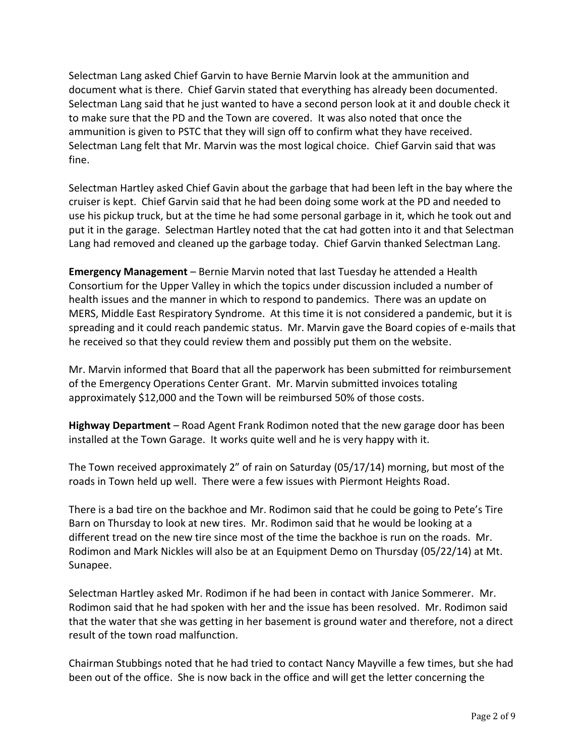Selectman Lang asked Chief Garvin to have Bernie Marvin look at the ammunition and document what is there. Chief Garvin stated that everything has already been documented. Selectman Lang said that he just wanted to have a second person look at it and double check it to make sure that the PD and the Town are covered. It was also noted that once the ammunition is given to PSTC that they will sign off to confirm what they have received. Selectman Lang felt that Mr. Marvin was the most logical choice. Chief Garvin said that was fine.

Selectman Hartley asked Chief Gavin about the garbage that had been left in the bay where the cruiser is kept. Chief Garvin said that he had been doing some work at the PD and needed to use his pickup truck, but at the time he had some personal garbage in it, which he took out and put it in the garage. Selectman Hartley noted that the cat had gotten into it and that Selectman Lang had removed and cleaned up the garbage today. Chief Garvin thanked Selectman Lang.

**Emergency Management** – Bernie Marvin noted that last Tuesday he attended a Health Consortium for the Upper Valley in which the topics under discussion included a number of health issues and the manner in which to respond to pandemics. There was an update on MERS, Middle East Respiratory Syndrome. At this time it is not considered a pandemic, but it is spreading and it could reach pandemic status. Mr. Marvin gave the Board copies of e-mails that he received so that they could review them and possibly put them on the website.

Mr. Marvin informed that Board that all the paperwork has been submitted for reimbursement of the Emergency Operations Center Grant. Mr. Marvin submitted invoices totaling approximately \$12,000 and the Town will be reimbursed 50% of those costs.

**Highway Department** – Road Agent Frank Rodimon noted that the new garage door has been installed at the Town Garage. It works quite well and he is very happy with it.

The Town received approximately 2" of rain on Saturday (05/17/14) morning, but most of the roads in Town held up well. There were a few issues with Piermont Heights Road.

There is a bad tire on the backhoe and Mr. Rodimon said that he could be going to Pete's Tire Barn on Thursday to look at new tires. Mr. Rodimon said that he would be looking at a different tread on the new tire since most of the time the backhoe is run on the roads. Mr. Rodimon and Mark Nickles will also be at an Equipment Demo on Thursday (05/22/14) at Mt. Sunapee.

Selectman Hartley asked Mr. Rodimon if he had been in contact with Janice Sommerer. Mr. Rodimon said that he had spoken with her and the issue has been resolved. Mr. Rodimon said that the water that she was getting in her basement is ground water and therefore, not a direct result of the town road malfunction.

Chairman Stubbings noted that he had tried to contact Nancy Mayville a few times, but she had been out of the office. She is now back in the office and will get the letter concerning the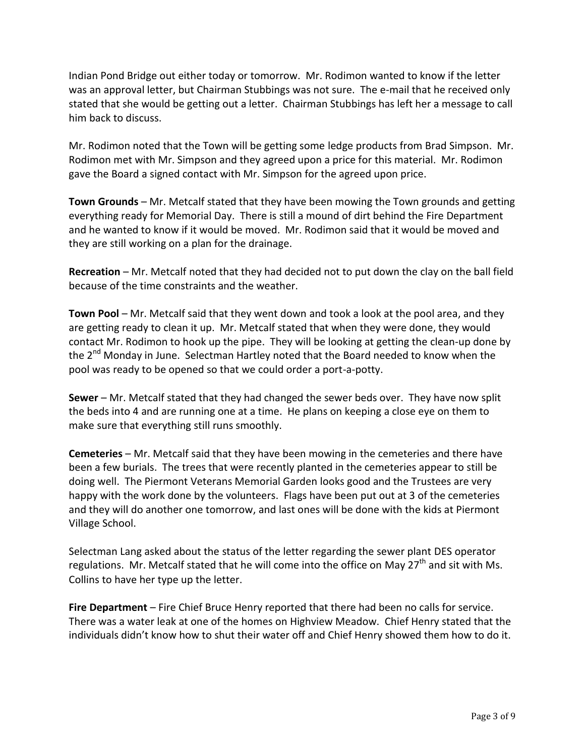Indian Pond Bridge out either today or tomorrow. Mr. Rodimon wanted to know if the letter was an approval letter, but Chairman Stubbings was not sure. The e-mail that he received only stated that she would be getting out a letter. Chairman Stubbings has left her a message to call him back to discuss.

Mr. Rodimon noted that the Town will be getting some ledge products from Brad Simpson. Mr. Rodimon met with Mr. Simpson and they agreed upon a price for this material. Mr. Rodimon gave the Board a signed contact with Mr. Simpson for the agreed upon price.

**Town Grounds** – Mr. Metcalf stated that they have been mowing the Town grounds and getting everything ready for Memorial Day. There is still a mound of dirt behind the Fire Department and he wanted to know if it would be moved. Mr. Rodimon said that it would be moved and they are still working on a plan for the drainage.

**Recreation** – Mr. Metcalf noted that they had decided not to put down the clay on the ball field because of the time constraints and the weather.

**Town Pool** – Mr. Metcalf said that they went down and took a look at the pool area, and they are getting ready to clean it up. Mr. Metcalf stated that when they were done, they would contact Mr. Rodimon to hook up the pipe. They will be looking at getting the clean-up done by the 2<sup>nd</sup> Monday in June. Selectman Hartley noted that the Board needed to know when the pool was ready to be opened so that we could order a port-a-potty.

**Sewer** – Mr. Metcalf stated that they had changed the sewer beds over. They have now split the beds into 4 and are running one at a time. He plans on keeping a close eye on them to make sure that everything still runs smoothly.

**Cemeteries** – Mr. Metcalf said that they have been mowing in the cemeteries and there have been a few burials. The trees that were recently planted in the cemeteries appear to still be doing well. The Piermont Veterans Memorial Garden looks good and the Trustees are very happy with the work done by the volunteers. Flags have been put out at 3 of the cemeteries and they will do another one tomorrow, and last ones will be done with the kids at Piermont Village School.

Selectman Lang asked about the status of the letter regarding the sewer plant DES operator regulations. Mr. Metcalf stated that he will come into the office on May 27<sup>th</sup> and sit with Ms. Collins to have her type up the letter.

**Fire Department** – Fire Chief Bruce Henry reported that there had been no calls for service. There was a water leak at one of the homes on Highview Meadow. Chief Henry stated that the individuals didn't know how to shut their water off and Chief Henry showed them how to do it.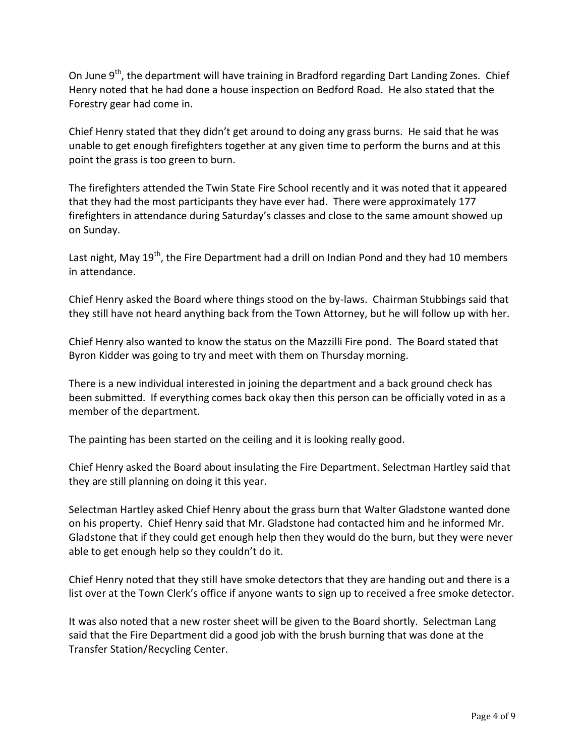On June 9<sup>th</sup>, the department will have training in Bradford regarding Dart Landing Zones. Chief Henry noted that he had done a house inspection on Bedford Road. He also stated that the Forestry gear had come in.

Chief Henry stated that they didn't get around to doing any grass burns. He said that he was unable to get enough firefighters together at any given time to perform the burns and at this point the grass is too green to burn.

The firefighters attended the Twin State Fire School recently and it was noted that it appeared that they had the most participants they have ever had. There were approximately 177 firefighters in attendance during Saturday's classes and close to the same amount showed up on Sunday.

Last night, May  $19<sup>th</sup>$ , the Fire Department had a drill on Indian Pond and they had 10 members in attendance.

Chief Henry asked the Board where things stood on the by-laws. Chairman Stubbings said that they still have not heard anything back from the Town Attorney, but he will follow up with her.

Chief Henry also wanted to know the status on the Mazzilli Fire pond. The Board stated that Byron Kidder was going to try and meet with them on Thursday morning.

There is a new individual interested in joining the department and a back ground check has been submitted. If everything comes back okay then this person can be officially voted in as a member of the department.

The painting has been started on the ceiling and it is looking really good.

Chief Henry asked the Board about insulating the Fire Department. Selectman Hartley said that they are still planning on doing it this year.

Selectman Hartley asked Chief Henry about the grass burn that Walter Gladstone wanted done on his property. Chief Henry said that Mr. Gladstone had contacted him and he informed Mr. Gladstone that if they could get enough help then they would do the burn, but they were never able to get enough help so they couldn't do it.

Chief Henry noted that they still have smoke detectors that they are handing out and there is a list over at the Town Clerk's office if anyone wants to sign up to received a free smoke detector.

It was also noted that a new roster sheet will be given to the Board shortly. Selectman Lang said that the Fire Department did a good job with the brush burning that was done at the Transfer Station/Recycling Center.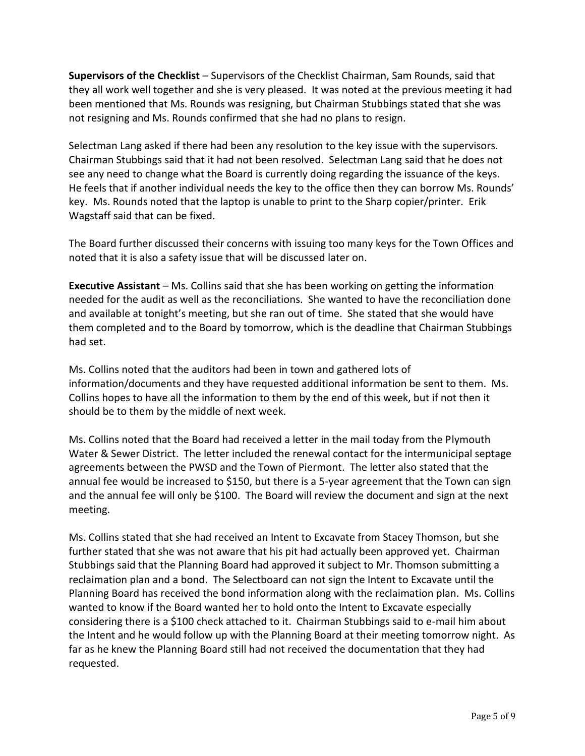**Supervisors of the Checklist** – Supervisors of the Checklist Chairman, Sam Rounds, said that they all work well together and she is very pleased. It was noted at the previous meeting it had been mentioned that Ms. Rounds was resigning, but Chairman Stubbings stated that she was not resigning and Ms. Rounds confirmed that she had no plans to resign.

Selectman Lang asked if there had been any resolution to the key issue with the supervisors. Chairman Stubbings said that it had not been resolved. Selectman Lang said that he does not see any need to change what the Board is currently doing regarding the issuance of the keys. He feels that if another individual needs the key to the office then they can borrow Ms. Rounds' key. Ms. Rounds noted that the laptop is unable to print to the Sharp copier/printer. Erik Wagstaff said that can be fixed.

The Board further discussed their concerns with issuing too many keys for the Town Offices and noted that it is also a safety issue that will be discussed later on.

**Executive Assistant** – Ms. Collins said that she has been working on getting the information needed for the audit as well as the reconciliations. She wanted to have the reconciliation done and available at tonight's meeting, but she ran out of time. She stated that she would have them completed and to the Board by tomorrow, which is the deadline that Chairman Stubbings had set.

Ms. Collins noted that the auditors had been in town and gathered lots of information/documents and they have requested additional information be sent to them. Ms. Collins hopes to have all the information to them by the end of this week, but if not then it should be to them by the middle of next week.

Ms. Collins noted that the Board had received a letter in the mail today from the Plymouth Water & Sewer District. The letter included the renewal contact for the intermunicipal septage agreements between the PWSD and the Town of Piermont. The letter also stated that the annual fee would be increased to \$150, but there is a 5-year agreement that the Town can sign and the annual fee will only be \$100. The Board will review the document and sign at the next meeting.

Ms. Collins stated that she had received an Intent to Excavate from Stacey Thomson, but she further stated that she was not aware that his pit had actually been approved yet. Chairman Stubbings said that the Planning Board had approved it subject to Mr. Thomson submitting a reclaimation plan and a bond. The Selectboard can not sign the Intent to Excavate until the Planning Board has received the bond information along with the reclaimation plan. Ms. Collins wanted to know if the Board wanted her to hold onto the Intent to Excavate especially considering there is a \$100 check attached to it. Chairman Stubbings said to e-mail him about the Intent and he would follow up with the Planning Board at their meeting tomorrow night. As far as he knew the Planning Board still had not received the documentation that they had requested.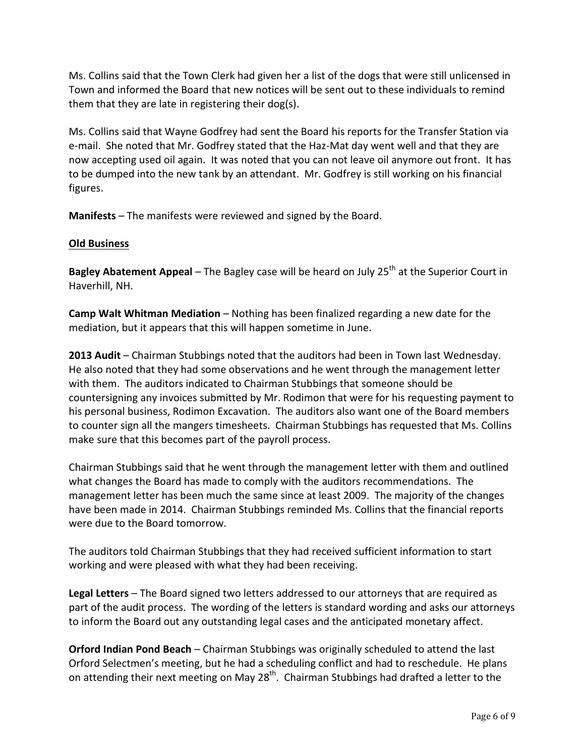Ms. Collins said that the Town Clerk had given her a list of the dogs that were still unlicensed in Town and informed the Board that new notices will be sent out to these individuals to remind them that they are late in registering their dog(s).

Ms. Collins said that Wayne Godfrey had sent the Board his reports for the Transfer Station via e-mail. She noted that Mr. Godfrey stated that the Haz-Mat day went well and that they are now accepting used oil again. It was noted that you can not leave oil anymore out front. It has to be dumped into the new tank by an attendant. Mr. Godfrey is still working on his financial figures.

**Manifests** – The manifests were reviewed and signed by the Board.

## **Old Business**

**Bagley Abatement Appeal** – The Bagley case will be heard on July 25<sup>th</sup> at the Superior Court in Haverhill, NH.

**Camp Walt Whitman Mediation** – Nothing has been finalized regarding a new date for the mediation, but it appears that this will happen sometime in June.

**2013 Audit** – Chairman Stubbings noted that the auditors had been in Town last Wednesday. He also noted that they had some observations and he went through the management letter with them. The auditors indicated to Chairman Stubbings that someone should be countersigning any invoices submitted by Mr. Rodimon that were for his requesting payment to his personal business, Rodimon Excavation. The auditors also want one of the Board members to counter sign all the mangers timesheets. Chairman Stubbings has requested that Ms. Collins make sure that this becomes part of the payroll process.

Chairman Stubbings said that he went through the management letter with them and outlined what changes the Board has made to comply with the auditors recommendations. The management letter has been much the same since at least 2009. The majority of the changes have been made in 2014. Chairman Stubbings reminded Ms. Collins that the financial reports were due to the Board tomorrow.

The auditors told Chairman Stubbings that they had received sufficient information to start working and were pleased with what they had been receiving.

**Legal Letters** – The Board signed two letters addressed to our attorneys that are required as part of the audit process. The wording of the letters is standard wording and asks our attorneys to inform the Board out any outstanding legal cases and the anticipated monetary affect.

**Orford Indian Pond Beach** – Chairman Stubbings was originally scheduled to attend the last Orford Selectmen's meeting, but he had a scheduling conflict and had to reschedule. He plans on attending their next meeting on May 28<sup>th</sup>. Chairman Stubbings had drafted a letter to the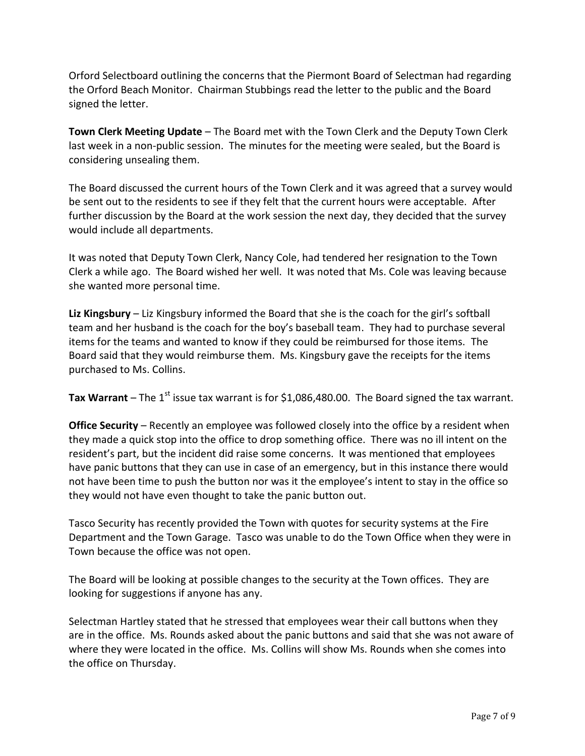Orford Selectboard outlining the concerns that the Piermont Board of Selectman had regarding the Orford Beach Monitor. Chairman Stubbings read the letter to the public and the Board signed the letter.

**Town Clerk Meeting Update** – The Board met with the Town Clerk and the Deputy Town Clerk last week in a non-public session. The minutes for the meeting were sealed, but the Board is considering unsealing them.

The Board discussed the current hours of the Town Clerk and it was agreed that a survey would be sent out to the residents to see if they felt that the current hours were acceptable. After further discussion by the Board at the work session the next day, they decided that the survey would include all departments.

It was noted that Deputy Town Clerk, Nancy Cole, had tendered her resignation to the Town Clerk a while ago. The Board wished her well. It was noted that Ms. Cole was leaving because she wanted more personal time.

**Liz Kingsbury** – Liz Kingsbury informed the Board that she is the coach for the girl's softball team and her husband is the coach for the boy's baseball team. They had to purchase several items for the teams and wanted to know if they could be reimbursed for those items. The Board said that they would reimburse them. Ms. Kingsbury gave the receipts for the items purchased to Ms. Collins.

**Tax Warrant** – The  $1^{st}$  issue tax warrant is for \$1,086,480.00. The Board signed the tax warrant.

**Office Security** – Recently an employee was followed closely into the office by a resident when they made a quick stop into the office to drop something office. There was no ill intent on the resident's part, but the incident did raise some concerns. It was mentioned that employees have panic buttons that they can use in case of an emergency, but in this instance there would not have been time to push the button nor was it the employee's intent to stay in the office so they would not have even thought to take the panic button out.

Tasco Security has recently provided the Town with quotes for security systems at the Fire Department and the Town Garage. Tasco was unable to do the Town Office when they were in Town because the office was not open.

The Board will be looking at possible changes to the security at the Town offices. They are looking for suggestions if anyone has any.

Selectman Hartley stated that he stressed that employees wear their call buttons when they are in the office. Ms. Rounds asked about the panic buttons and said that she was not aware of where they were located in the office. Ms. Collins will show Ms. Rounds when she comes into the office on Thursday.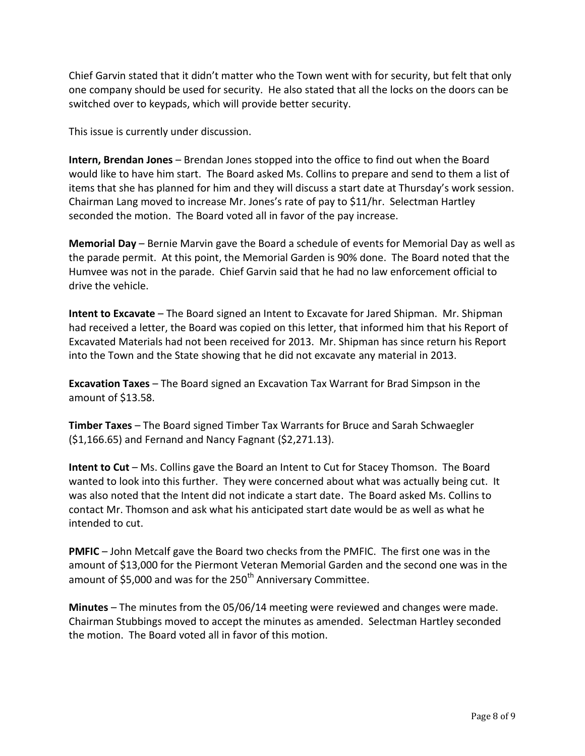Chief Garvin stated that it didn't matter who the Town went with for security, but felt that only one company should be used for security. He also stated that all the locks on the doors can be switched over to keypads, which will provide better security.

This issue is currently under discussion.

**Intern, Brendan Jones** – Brendan Jones stopped into the office to find out when the Board would like to have him start. The Board asked Ms. Collins to prepare and send to them a list of items that she has planned for him and they will discuss a start date at Thursday's work session. Chairman Lang moved to increase Mr. Jones's rate of pay to \$11/hr. Selectman Hartley seconded the motion. The Board voted all in favor of the pay increase.

**Memorial Day** – Bernie Marvin gave the Board a schedule of events for Memorial Day as well as the parade permit. At this point, the Memorial Garden is 90% done. The Board noted that the Humvee was not in the parade. Chief Garvin said that he had no law enforcement official to drive the vehicle.

**Intent to Excavate** – The Board signed an Intent to Excavate for Jared Shipman. Mr. Shipman had received a letter, the Board was copied on this letter, that informed him that his Report of Excavated Materials had not been received for 2013. Mr. Shipman has since return his Report into the Town and the State showing that he did not excavate any material in 2013.

**Excavation Taxes** – The Board signed an Excavation Tax Warrant for Brad Simpson in the amount of \$13.58.

**Timber Taxes** – The Board signed Timber Tax Warrants for Bruce and Sarah Schwaegler (\$1,166.65) and Fernand and Nancy Fagnant (\$2,271.13).

**Intent to Cut** – Ms. Collins gave the Board an Intent to Cut for Stacey Thomson. The Board wanted to look into this further. They were concerned about what was actually being cut. It was also noted that the Intent did not indicate a start date. The Board asked Ms. Collins to contact Mr. Thomson and ask what his anticipated start date would be as well as what he intended to cut.

**PMFIC** – John Metcalf gave the Board two checks from the PMFIC. The first one was in the amount of \$13,000 for the Piermont Veteran Memorial Garden and the second one was in the amount of \$5,000 and was for the 250<sup>th</sup> Anniversary Committee.

**Minutes** – The minutes from the 05/06/14 meeting were reviewed and changes were made. Chairman Stubbings moved to accept the minutes as amended. Selectman Hartley seconded the motion. The Board voted all in favor of this motion.